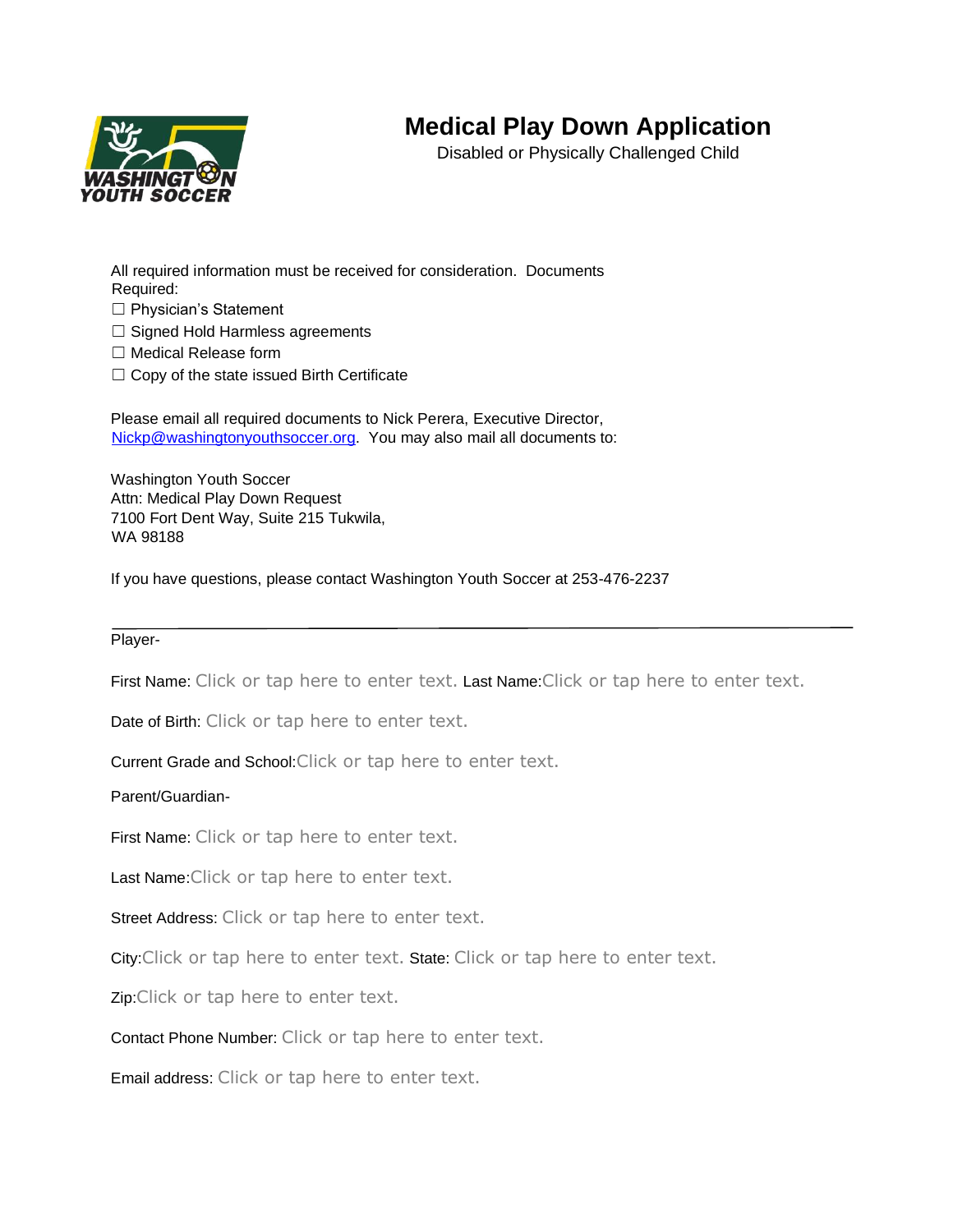## **Medical Play Down Application**



Disabled or Physically Challenged Child

All required information must be received for consideration. Documents Required:

☐ Physician's Statement

- □ Signed Hold Harmless agreements
- ☐ Medical Release form
- $\Box$  Copy of the state issued Birth Certificate

Please email all required documents to Nick Perera, Executive Director, Nickp@washingtonyouthsoccer.org. You may also mail all documents to:

Washington Youth Soccer Attn: Medical Play Down Request 7100 Fort Dent Way, Suite 215 Tukwila, WA 98188

If you have questions, please contact Washington Youth Soccer at 253-476-2237

Player-

First Name: Click or tap here to enter text. Last Name: Click or tap here to enter text.

Date of Birth: Click or tap here to enter text.

Current Grade and School:Click or tap here to enter text.

Parent/Guardian-

First Name: Click or tap here to enter text.

Last Name: Click or tap here to enter text.

Street Address: Click or tap here to enter text.

City: Click or tap here to enter text. State: Click or tap here to enter text.

Zip:Click or tap here to enter text.

Contact Phone Number: Click or tap here to enter text.

Email address: Click or tap here to enter text.